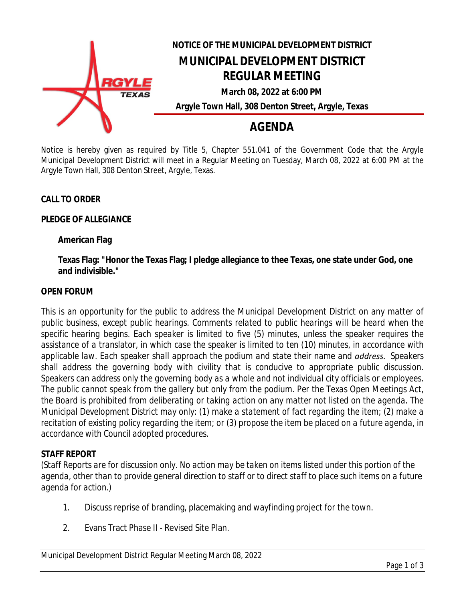

Notice is hereby given as required by Title 5, Chapter 551.041 of the Government Code that the Argyle Municipal Development District will meet in a Regular Meeting on Tuesday, March 08, 2022 at 6:00 PM at the Argyle Town Hall, 308 Denton Street, Argyle, Texas.

#### **CALL TO ORDER**

#### **PLEDGE OF ALLEGIANCE**

#### **American Flag**

**Texas Flag: "Honor the Texas Flag; I pledge allegiance to thee Texas, one state under God, one and indivisible."**

#### **OPEN FORUM**

*This is an opportunity for the public to address the Municipal Development District on any matter of public business, except public hearings. Comments related to public hearings will be heard when the specific hearing begins. Each speaker is limited to five (5) minutes, unless the speaker requires the* assistance of a translator, in which case the speaker is limited to ten (10) minutes, in accordance with *applicable law. Each speaker shall approach the podium and state their name and address. Speakers shall address the governing body with civility that is conducive to appropriate public discussion. Speakers can address only the governing body as a whole and not individual city officials or employees.* The public cannot speak from the gallery but only from the podium. Per the Texas Open Meetings Act, the Board is prohibited from deliberating or taking action on any matter not listed on the agenda. The *Municipal Development District may only: (1) make a statement of fact regarding the item; (2) make a* recitation of existing policy regarding the item; or (3) propose the item be placed on a future agenda, in *accordance with Council adopted procedures.*

#### **STAFF REPORT**

*(Staff Reports are for discussion only. No action may be taken on items listed under this portion of the agenda, other than to provide general direction to staff or to direct staff to place such items on a future agenda for action.)*

- 1. Discuss reprise of branding, placemaking and wayfinding project for the town.
- 2. Evans Tract Phase II Revised Site Plan.

Municipal Development District Regular Meeting March 08, 2022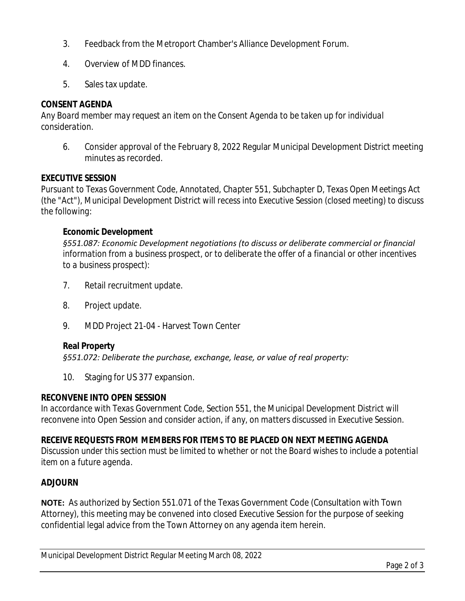- 3. Feedback from the Metroport Chamber's Alliance Development Forum.
- 4. Overview of MDD finances.
- 5. Sales tax update.

# **CONSENT AGENDA**

*Any Board member may request an item on the Consent Agenda to be taken up for individual consideration.*

6. Consider approval of the February 8, 2022 Regular Municipal Development District meeting minutes as recorded.

## **EXECUTIVE SESSION**

*Pursuant to Texas Government Code, Annotated, Chapter 551, Subchapter D, Texas Open Meetings Act (the "Act"), Municipal Development District will recess into Executive Session (closed meeting) to discuss the following:*

## **Economic Development**

*§551.087: Economic Development negotiations (to discuss or deliberate commercial or financial information from a business prospect, or to deliberate the offer of a financial or other incentives to a business prospect):*

- 7. Retail recruitment update.
- 8. Project update.
- 9. MDD Project 21-04 Harvest Town Center

## **Real Property**

*§551.072: Deliberate the purchase, exchange, lease, or value of real property:*

10. Staging for US 377 expansion.

## **RECONVENE INTO OPEN SESSION**

*In accordance with Texas Government Code, Section 551, the Municipal Development District will reconvene into Open Session and consider action, if any, on matters discussed in Executive Session.*

# **RECEIVE REQUESTS FROM MEMBERS FOR ITEMS TO BE PLACED ON NEXT MEETING AGENDA**

*Discussion under this section must be limited to whether or not the Board wishes to include a potential item on a future agenda.*

# **ADJOURN**

**NOTE:** As authorized by Section 551.071 of the Texas Government Code (Consultation with Town Attorney), this meeting may be convened into closed Executive Session for the purpose of seeking confidential legal advice from the Town Attorney on any agenda item herein.

Municipal Development District Regular Meeting March 08, 2022